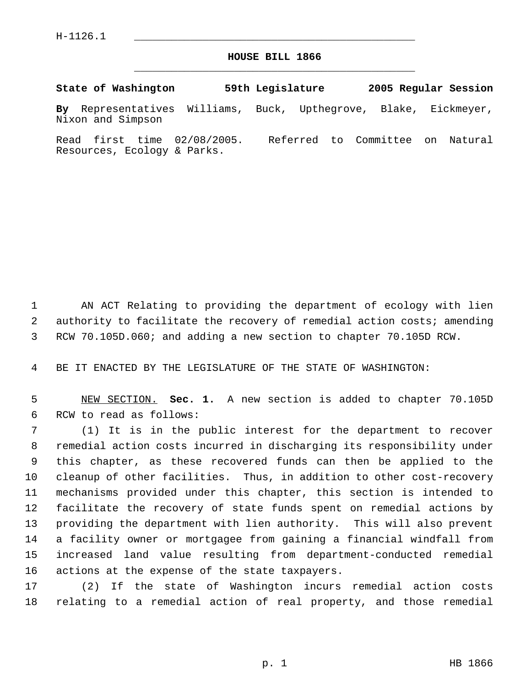H-1126.1 \_\_\_\_\_\_\_\_\_\_\_\_\_\_\_\_\_\_\_\_\_\_\_\_\_\_\_\_\_\_\_\_\_\_\_\_\_\_\_\_\_\_\_\_\_

## **HOUSE BILL 1866** \_\_\_\_\_\_\_\_\_\_\_\_\_\_\_\_\_\_\_\_\_\_\_\_\_\_\_\_\_\_\_\_\_\_\_\_\_\_\_\_\_\_\_\_\_

**State of Washington 59th Legislature 2005 Regular Session By** Representatives Williams, Buck, Upthegrove, Blake, Eickmeyer, Nixon and Simpson

Read first time 02/08/2005. Referred to Committee on Natural Resources, Ecology & Parks.

 AN ACT Relating to providing the department of ecology with lien authority to facilitate the recovery of remedial action costs; amending RCW 70.105D.060; and adding a new section to chapter 70.105D RCW.

BE IT ENACTED BY THE LEGISLATURE OF THE STATE OF WASHINGTON:

 NEW SECTION. **Sec. 1.** A new section is added to chapter 70.105D RCW to read as follows:

 (1) It is in the public interest for the department to recover remedial action costs incurred in discharging its responsibility under this chapter, as these recovered funds can then be applied to the cleanup of other facilities. Thus, in addition to other cost-recovery mechanisms provided under this chapter, this section is intended to facilitate the recovery of state funds spent on remedial actions by providing the department with lien authority. This will also prevent a facility owner or mortgagee from gaining a financial windfall from increased land value resulting from department-conducted remedial actions at the expense of the state taxpayers.

 (2) If the state of Washington incurs remedial action costs relating to a remedial action of real property, and those remedial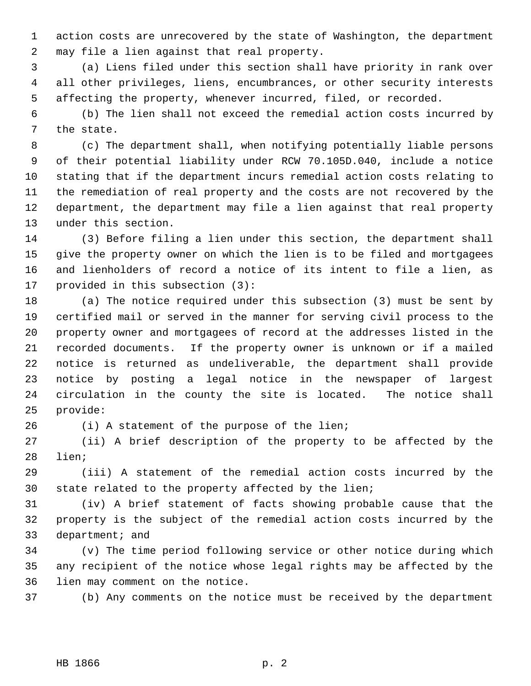action costs are unrecovered by the state of Washington, the department may file a lien against that real property.

 (a) Liens filed under this section shall have priority in rank over all other privileges, liens, encumbrances, or other security interests affecting the property, whenever incurred, filed, or recorded.

 (b) The lien shall not exceed the remedial action costs incurred by the state.

 (c) The department shall, when notifying potentially liable persons of their potential liability under RCW 70.105D.040, include a notice stating that if the department incurs remedial action costs relating to the remediation of real property and the costs are not recovered by the department, the department may file a lien against that real property under this section.

 (3) Before filing a lien under this section, the department shall give the property owner on which the lien is to be filed and mortgagees and lienholders of record a notice of its intent to file a lien, as provided in this subsection (3):

 (a) The notice required under this subsection (3) must be sent by certified mail or served in the manner for serving civil process to the property owner and mortgagees of record at the addresses listed in the recorded documents. If the property owner is unknown or if a mailed notice is returned as undeliverable, the department shall provide notice by posting a legal notice in the newspaper of largest circulation in the county the site is located. The notice shall provide:

(i) A statement of the purpose of the lien;

 (ii) A brief description of the property to be affected by the lien;

 (iii) A statement of the remedial action costs incurred by the state related to the property affected by the lien;

 (iv) A brief statement of facts showing probable cause that the property is the subject of the remedial action costs incurred by the department; and

 (v) The time period following service or other notice during which any recipient of the notice whose legal rights may be affected by the lien may comment on the notice.

(b) Any comments on the notice must be received by the department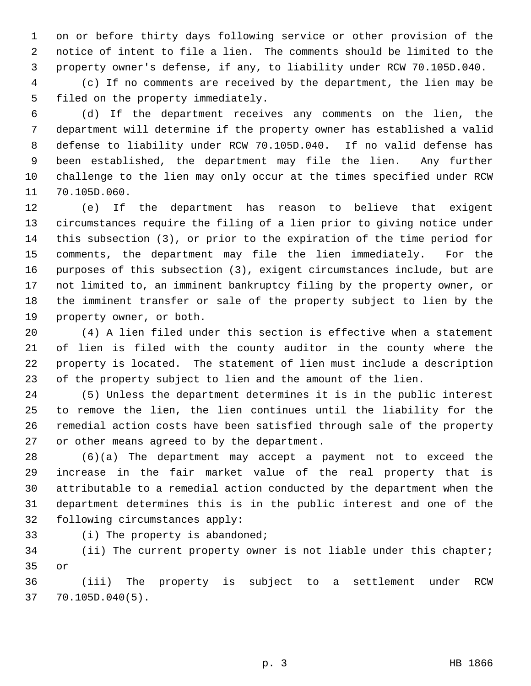on or before thirty days following service or other provision of the notice of intent to file a lien. The comments should be limited to the property owner's defense, if any, to liability under RCW 70.105D.040.

 (c) If no comments are received by the department, the lien may be filed on the property immediately.

 (d) If the department receives any comments on the lien, the department will determine if the property owner has established a valid defense to liability under RCW 70.105D.040. If no valid defense has been established, the department may file the lien. Any further challenge to the lien may only occur at the times specified under RCW 70.105D.060.

 (e) If the department has reason to believe that exigent circumstances require the filing of a lien prior to giving notice under this subsection (3), or prior to the expiration of the time period for comments, the department may file the lien immediately. For the purposes of this subsection (3), exigent circumstances include, but are not limited to, an imminent bankruptcy filing by the property owner, or the imminent transfer or sale of the property subject to lien by the property owner, or both.

 (4) A lien filed under this section is effective when a statement of lien is filed with the county auditor in the county where the property is located. The statement of lien must include a description of the property subject to lien and the amount of the lien.

 (5) Unless the department determines it is in the public interest to remove the lien, the lien continues until the liability for the remedial action costs have been satisfied through sale of the property or other means agreed to by the department.

 (6)(a) The department may accept a payment not to exceed the increase in the fair market value of the real property that is attributable to a remedial action conducted by the department when the department determines this is in the public interest and one of the following circumstances apply:

(i) The property is abandoned;

 (ii) The current property owner is not liable under this chapter; or

 (iii) The property is subject to a settlement under RCW 70.105D.040(5).